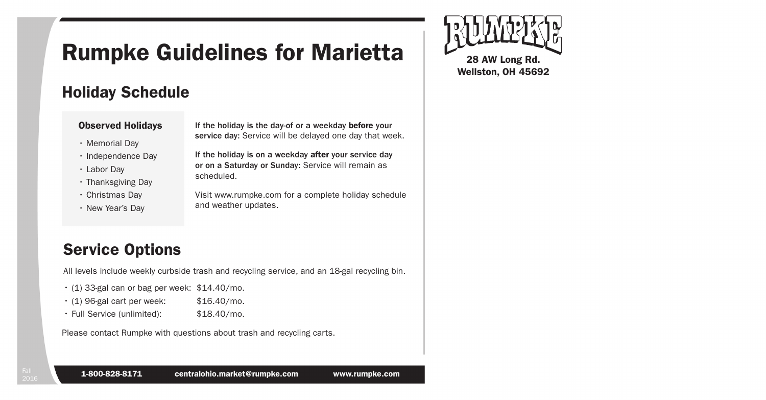# Rumpke Guidelines for Marietta

## Holiday Schedule

#### Observed Holidays

- Memorial Day
- Independence Day
- Labor Day
- Thanksgiving Day
- Christmas Day
- New Year's Day

If the holiday is the day-of or a weekday before your service day: Service will be delayed one day that week.

If the holiday is on a weekday after your service day or on a Saturday or Sunday: Service will remain as scheduled.

Visit www.rumpke.com for a complete holiday schedule and weather updates.

## Service Options

All levels include weekly curbside trash and recycling service, and an 18-gal recycling bin.

- $\cdot$  (1) 33-gal can or bag per week: \$14.40/mo.
- $\cdot$  (1) 96-gal cart per week:  $$16.40/mol$ .
- Full Service (unlimited): \$18.40/mo.

Please contact Rumpke with questions about trash and recycling carts.



Wellston, OH 45692